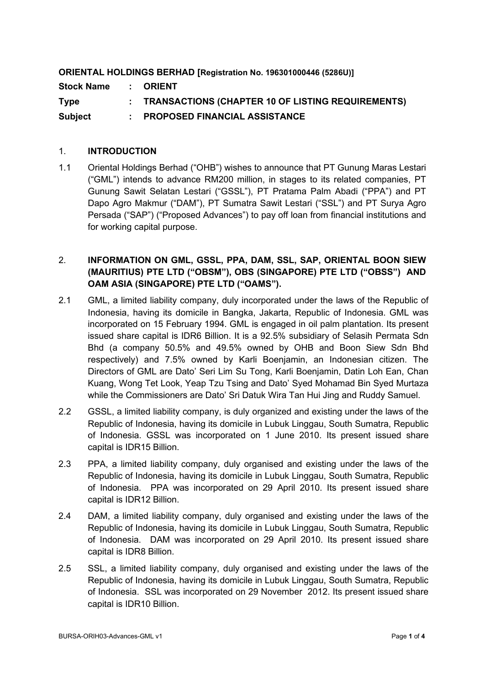# **ORIENTAL HOLDINGS BERHAD [Registration No. 196301000446 (5286U)] Stock Name : ORIENT Type : TRANSACTIONS (CHAPTER 10 OF LISTING REQUIREMENTS) Subject : PROPOSED FINANCIAL ASSISTANCE**

## 1. **INTRODUCTION**

1.1 Oriental Holdings Berhad ("OHB") wishes to announce that PT Gunung Maras Lestari ("GML") intends to advance RM200 million, in stages to its related companies, PT Gunung Sawit Selatan Lestari ("GSSL"), PT Pratama Palm Abadi ("PPA") and PT Dapo Agro Makmur ("DAM"), PT Sumatra Sawit Lestari ("SSL") and PT Surya Agro Persada ("SAP") ("Proposed Advances") to pay off loan from financial institutions and for working capital purpose.

# 2. **INFORMATION ON GML, GSSL, PPA, DAM, SSL, SAP, ORIENTAL BOON SIEW (MAURITIUS) PTE LTD ("OBSM"), OBS (SINGAPORE) PTE LTD ("OBSS") AND OAM ASIA (SINGAPORE) PTE LTD ("OAMS").**

- 2.1 GML, a limited liability company, duly incorporated under the laws of the Republic of Indonesia, having its domicile in Bangka, Jakarta, Republic of Indonesia. GML was incorporated on 15 February 1994. GML is engaged in oil palm plantation. Its present issued share capital is IDR6 Billion. It is a 92.5% subsidiary of Selasih Permata Sdn Bhd (a company 50.5% and 49.5% owned by OHB and Boon Siew Sdn Bhd respectively) and 7.5% owned by Karli Boenjamin, an Indonesian citizen. The Directors of GML are Dato' Seri Lim Su Tong, Karli Boenjamin, Datin Loh Ean, Chan Kuang, Wong Tet Look, Yeap Tzu Tsing and Dato' Syed Mohamad Bin Syed Murtaza while the Commissioners are Dato' Sri Datuk Wira Tan Hui Jing and Ruddy Samuel.
- 2.2 GSSL, a limited liability company, is duly organized and existing under the laws of the Republic of Indonesia, having its domicile in Lubuk Linggau, South Sumatra, Republic of Indonesia. GSSL was incorporated on 1 June 2010. Its present issued share capital is IDR15 Billion.
- 2.3 PPA, a limited liability company, duly organised and existing under the laws of the Republic of Indonesia, having its domicile in Lubuk Linggau, South Sumatra, Republic of Indonesia. PPA was incorporated on 29 April 2010. Its present issued share capital is IDR12 Billion.
- 2.4 DAM, a limited liability company, duly organised and existing under the laws of the Republic of Indonesia, having its domicile in Lubuk Linggau, South Sumatra, Republic of Indonesia. DAM was incorporated on 29 April 2010. Its present issued share capital is IDR8 Billion.
- 2.5 SSL, a limited liability company, duly organised and existing under the laws of the Republic of Indonesia, having its domicile in Lubuk Linggau, South Sumatra, Republic of Indonesia. SSL was incorporated on 29 November 2012. Its present issued share capital is IDR10 Billion.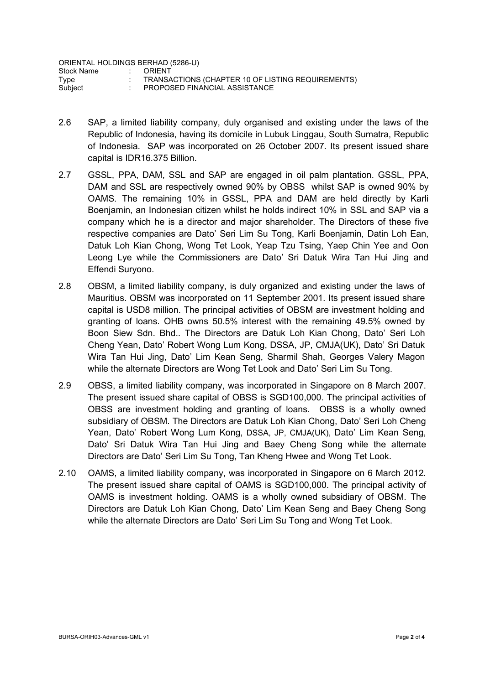ORIENTAL HOLDINGS BERHAD (5286-U)<br>Stock Name : ORIENT Stock Name<br>Type Type : TRANSACTIONS (CHAPTER 10 OF LISTING REQUIREMENTS)<br>Subject : PROPOSED FINANCIAL ASSISTANCE PROPOSED FINANCIAL ASSISTANCE

- 2.6 SAP, a limited liability company, duly organised and existing under the laws of the Republic of Indonesia, having its domicile in Lubuk Linggau, South Sumatra, Republic of Indonesia. SAP was incorporated on 26 October 2007. Its present issued share capital is IDR16.375 Billion.
- 2.7 GSSL, PPA, DAM, SSL and SAP are engaged in oil palm plantation. GSSL, PPA, DAM and SSL are respectively owned 90% by OBSS whilst SAP is owned 90% by OAMS. The remaining 10% in GSSL, PPA and DAM are held directly by Karli Boenjamin, an Indonesian citizen whilst he holds indirect 10% in SSL and SAP via a company which he is a director and major shareholder. The Directors of these five respective companies are Dato' Seri Lim Su Tong, Karli Boenjamin, Datin Loh Ean, Datuk Loh Kian Chong, Wong Tet Look, Yeap Tzu Tsing, Yaep Chin Yee and Oon Leong Lye while the Commissioners are Dato' Sri Datuk Wira Tan Hui Jing and Effendi Suryono.
- 2.8 OBSM, a limited liability company, is duly organized and existing under the laws of Mauritius. OBSM was incorporated on 11 September 2001. Its present issued share capital is USD8 million. The principal activities of OBSM are investment holding and granting of loans. OHB owns 50.5% interest with the remaining 49.5% owned by Boon Siew Sdn. Bhd.. The Directors are Datuk Loh Kian Chong, Dato' Seri Loh Cheng Yean, Dato' Robert Wong Lum Kong, DSSA, JP, CMJA(UK), Dato' Sri Datuk Wira Tan Hui Jing, Dato' Lim Kean Seng, Sharmil Shah, Georges Valery Magon while the alternate Directors are Wong Tet Look and Dato' Seri Lim Su Tong.
- 2.9 OBSS, a limited liability company, was incorporated in Singapore on 8 March 2007. The present issued share capital of OBSS is SGD100,000. The principal activities of OBSS are investment holding and granting of loans. OBSS is a wholly owned subsidiary of OBSM. The Directors are Datuk Loh Kian Chong, Dato' Seri Loh Cheng Yean, Dato' Robert Wong Lum Kong, DSSA, JP, CMJA(UK), Dato' Lim Kean Seng, Dato' Sri Datuk Wira Tan Hui Jing and Baey Cheng Song while the alternate Directors are Dato' Seri Lim Su Tong, Tan Kheng Hwee and Wong Tet Look.
- 2.10 OAMS, a limited liability company, was incorporated in Singapore on 6 March 2012. The present issued share capital of OAMS is SGD100,000. The principal activity of OAMS is investment holding. OAMS is a wholly owned subsidiary of OBSM. The Directors are Datuk Loh Kian Chong, Dato' Lim Kean Seng and Baey Cheng Song while the alternate Directors are Dato' Seri Lim Su Tong and Wong Tet Look.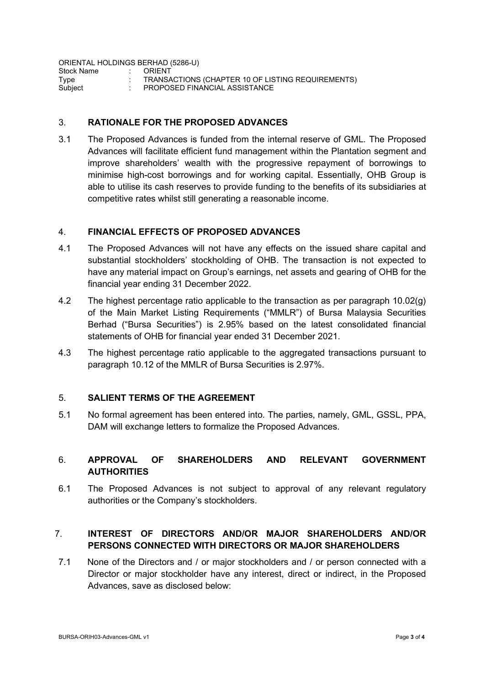ORIENTAL HOLDINGS BERHAD (5286-U)

| TRANSACTIONS (CHAPTER 10 OF LISTING REQUIREMENTS) |
|---------------------------------------------------|
| PROPOSED FINANCIAL ASSISTANCE                     |
|                                                   |

### 3. **RATIONALE FOR THE PROPOSED ADVANCES**

3.1 The Proposed Advances is funded from the internal reserve of GML. The Proposed Advances will facilitate efficient fund management within the Plantation segment and improve shareholders' wealth with the progressive repayment of borrowings to minimise high-cost borrowings and for working capital. Essentially, OHB Group is able to utilise its cash reserves to provide funding to the benefits of its subsidiaries at competitive rates whilst still generating a reasonable income.

#### 4. **FINANCIAL EFFECTS OF PROPOSED ADVANCES**

- 4.1 The Proposed Advances will not have any effects on the issued share capital and substantial stockholders' stockholding of OHB. The transaction is not expected to have any material impact on Group's earnings, net assets and gearing of OHB for the financial year ending 31 December 2022.
- 4.2 The highest percentage ratio applicable to the transaction as per paragraph 10.02(g) of the Main Market Listing Requirements ("MMLR") of Bursa Malaysia Securities Berhad ("Bursa Securities") is 2.95% based on the latest consolidated financial statements of OHB for financial year ended 31 December 2021.
- 4.3 The highest percentage ratio applicable to the aggregated transactions pursuant to paragraph 10.12 of the MMLR of Bursa Securities is 2.97%.

#### 5. **SALIENT TERMS OF THE AGREEMENT**

5.1 No formal agreement has been entered into. The parties, namely, GML, GSSL, PPA, DAM will exchange letters to formalize the Proposed Advances.

## 6. **APPROVAL OF SHAREHOLDERS AND RELEVANT GOVERNMENT AUTHORITIES**

6.1 The Proposed Advances is not subject to approval of any relevant regulatory authorities or the Company's stockholders.

# 7. **INTEREST OF DIRECTORS AND/OR MAJOR SHAREHOLDERS AND/OR PERSONS CONNECTED WITH DIRECTORS OR MAJOR SHAREHOLDERS**

7.1 None of the Directors and / or major stockholders and / or person connected with a Director or major stockholder have any interest, direct or indirect, in the Proposed Advances, save as disclosed below: